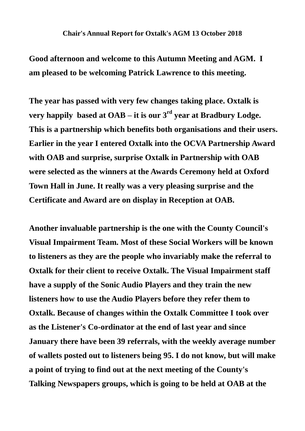## **Chair's Annual Report for Oxtalk's AGM 13 October 2018**

**Good afternoon and welcome to this Autumn Meeting and AGM. I am pleased to be welcoming Patrick Lawrence to this meeting.**

**The year has passed with very few changes taking place. Oxtalk is very happily based at OAB – it is our**  $3<sup>rd</sup>$  **year at Bradbury Lodge. This is a partnership which benefits both organisations and their users. Earlier in the year I entered Oxtalk into the OCVA Partnership Award with OAB and surprise, surprise Oxtalk in Partnership with OAB were selected as the winners at the Awards Ceremony held at Oxford Town Hall in June. It really was a very pleasing surprise and the Certificate and Award are on display in Reception at OAB.**

**Another invaluable partnership is the one with the County Council's Visual Impairment Team. Most of these Social Workers will be known to listeners as they are the people who invariably make the referral to Oxtalk for their client to receive Oxtalk. The Visual Impairment staff have a supply of the Sonic Audio Players and they train the new listeners how to use the Audio Players before they refer them to Oxtalk. Because of changes within the Oxtalk Committee I took over as the Listener's Co-ordinator at the end of last year and since January there have been 39 referrals, with the weekly average number of wallets posted out to listeners being 95. I do not know, but will make a point of trying to find out at the next meeting of the County's Talking Newspapers groups, which is going to be held at OAB at the**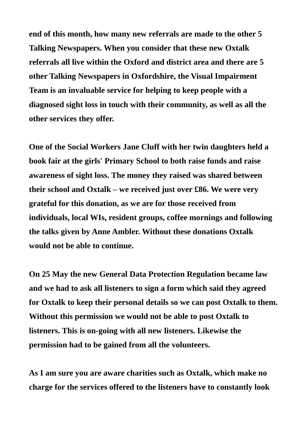**end of this month, how many new referrals are made to the other 5 Talking Newspapers. When you consider that these new Oxtalk referrals all live within the Oxford and district area and there are 5 other Talking Newspapers in Oxfordshire, the Visual Impairment Team is an invaluable service for helping to keep people with a diagnosed sight loss in touch with their community, as well as all the other services they offer.**

**One of the Social Workers Jane Cluff with her twin daughters held a book fair at the girls' Primary School to both raise funds and raise awareness of sight loss. The money they raised was shared between their school and Oxtalk – we received just over £86. We were very grateful for this donation, as we are for those received from individuals, local WIs, resident groups, coffee mornings and following the talks given by Anne Ambler. Without these donations Oxtalk would not be able to continue.**

**On 25 May the new General Data Protection Regulation became law and we had to ask all listeners to sign a form which said they agreed for Oxtalk to keep their personal details so we can post Oxtalk to them. Without this permission we would not be able to post Oxtalk to listeners. This is on-going with all new listeners. Likewise the permission had to be gained from all the volunteers.**

**As I am sure you are aware charities such as Oxtalk, which make no charge for the services offered to the listeners have to constantly look**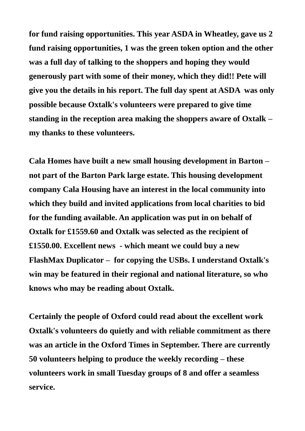**for fund raising opportunities. This year ASDA in Wheatley, gave us 2 fund raising opportunities, 1 was the green token option and the other was a full day of talking to the shoppers and hoping they would generously part with some of their money, which they did!! Pete will give you the details in his report. The full day spent at ASDA was only possible because Oxtalk's volunteers were prepared to give time standing in the reception area making the shoppers aware of Oxtalk – my thanks to these volunteers.**

**Cala Homes have built a new small housing development in Barton – not part of the Barton Park large estate. This housing development company Cala Housing have an interest in the local community into which they build and invited applications from local charities to bid for the funding available. An application was put in on behalf of Oxtalk for £1559.60 and Oxtalk was selected as the recipient of £1550.00. Excellent news - which meant we could buy a new FlashMax Duplicator – for copying the USBs. I understand Oxtalk's win may be featured in their regional and national literature, so who knows who may be reading about Oxtalk.**

**Certainly the people of Oxford could read about the excellent work Oxtalk's volunteers do quietly and with reliable commitment as there was an article in the Oxford Times in September. There are currently 50 volunteers helping to produce the weekly recording – these volunteers work in small Tuesday groups of 8 and offer a seamless service.**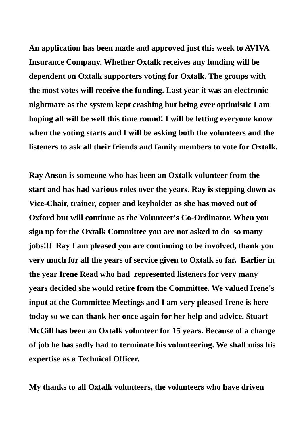**An application has been made and approved just this week to AVIVA Insurance Company. Whether Oxtalk receives any funding will be dependent on Oxtalk supporters voting for Oxtalk. The groups with the most votes will receive the funding. Last year it was an electronic nightmare as the system kept crashing but being ever optimistic I am hoping all will be well this time round! I will be letting everyone know when the voting starts and I will be asking both the volunteers and the listeners to ask all their friends and family members to vote for Oxtalk.**

**Ray Anson is someone who has been an Oxtalk volunteer from the start and has had various roles over the years. Ray is stepping down as Vice-Chair, trainer, copier and keyholder as she has moved out of Oxford but will continue as the Volunteer's Co-Ordinator. When you sign up for the Oxtalk Committee you are not asked to do so many jobs!!! Ray I am pleased you are continuing to be involved, thank you very much for all the years of service given to Oxtalk so far. Earlier in the year Irene Read who had represented listeners for very many years decided she would retire from the Committee. We valued Irene's input at the Committee Meetings and I am very pleased Irene is here today so we can thank her once again for her help and advice. Stuart McGill has been an Oxtalk volunteer for 15 years. Because of a change of job he has sadly had to terminate his volunteering. We shall miss his expertise as a Technical Officer.**

**My thanks to all Oxtalk volunteers, the volunteers who have driven**